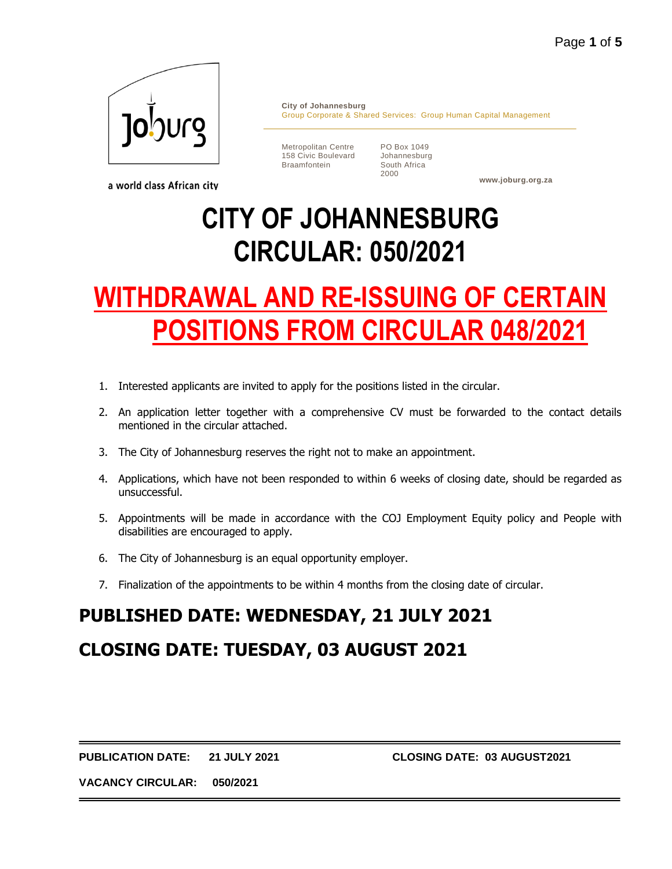

a world class African city

**City of Johannesburg** Group Corporate & Shared Services: Group Human Capital Management

Metropolitan Centre 158 Civic Boulevard Braamfontein

PO Box 1049 Johannesburg South Africa 2000

**www.joburg.org.za**

# **CITY OF JOHANNESBURG CIRCULAR: 050/2021**

# **WITHDRAWAL AND RE-ISSUING OF CERTAIN POSITIONS FROM CIRCULAR 048/2021**

- 1. Interested applicants are invited to apply for the positions listed in the circular.
- 2. An application letter together with a comprehensive CV must be forwarded to the contact details mentioned in the circular attached.
- 3. The City of Johannesburg reserves the right not to make an appointment.
- 4. Applications, which have not been responded to within 6 weeks of closing date, should be regarded as unsuccessful.
- 5. Appointments will be made in accordance with the COJ Employment Equity policy and People with disabilities are encouraged to apply.
- 6. The City of Johannesburg is an equal opportunity employer.
- 7. Finalization of the appointments to be within 4 months from the closing date of circular.

# **PUBLISHED DATE: WEDNESDAY, 21 JULY 2021**

# **CLOSING DATE: TUESDAY, 03 AUGUST 2021**

**PUBLICATION DATE: 21 JULY 2021 CLOSING DATE: 03 AUGUST2021**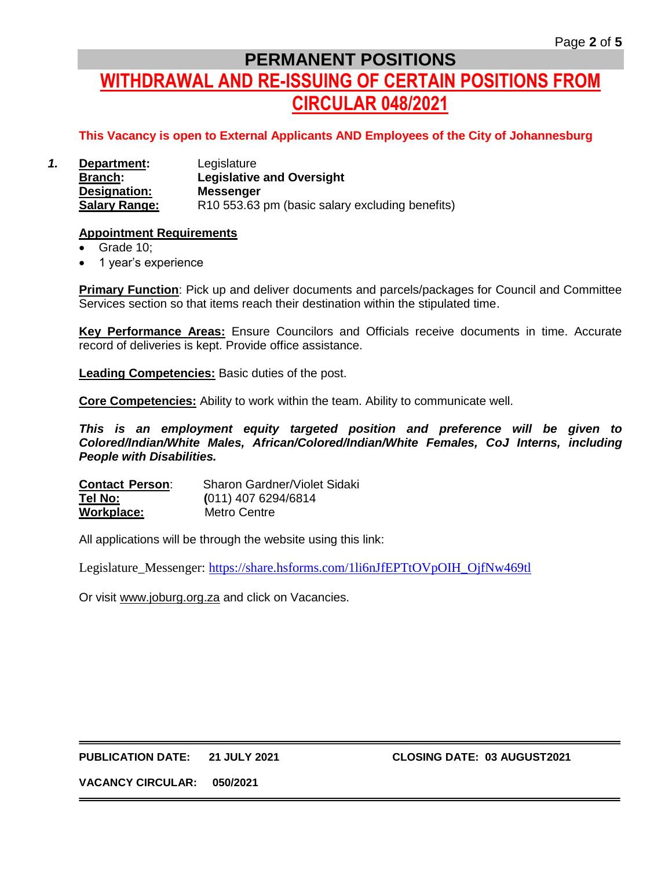# **PERMANENT POSITIONS WITHDRAWAL AND RE-ISSUING OF CERTAIN POSITIONS FROM CIRCULAR 048/2021**

## **This Vacancy is open to External Applicants AND Employees of the City of Johannesburg**

*1.* **Department:** Legislature **Branch: Legislative and Oversight Designation: Messenger Salary Range:** R10 553.63 pm (basic salary excluding benefits)

#### **Appointment Requirements**

- Grade 10;
- 1 year's experience

**Primary Function**: Pick up and deliver documents and parcels/packages for Council and Committee Services section so that items reach their destination within the stipulated time.

**Key Performance Areas:** Ensure Councilors and Officials receive documents in time. Accurate record of deliveries is kept. Provide office assistance.

**Leading Competencies:** Basic duties of the post.

**Core Competencies:** Ability to work within the team. Ability to communicate well.

*This is an employment equity targeted position and preference will be given to Colored/Indian/White Males, African/Colored/Indian/White Females, CoJ Interns, including People with Disabilities.*

**Contact Person**: Sharon Gardner/Violet Sidaki **Tel No: (**011) 407 6294/6814 **Workplace:** Metro Centre

All applications will be through the website using this link:

Legislature\_Messenger: [https://share.hsforms.com/1li6nJfEPTtOVpOIH\\_OjfNw469tl](https://share.hsforms.com/1li6nJfEPTtOVpOIH_OjfNw469tl)

Or visit [www.joburg.org.za](http://www.joburg.org.za/) and click on Vacancies.

#### **PUBLICATION DATE: 21 JULY 2021 CLOSING DATE: 03 AUGUST2021**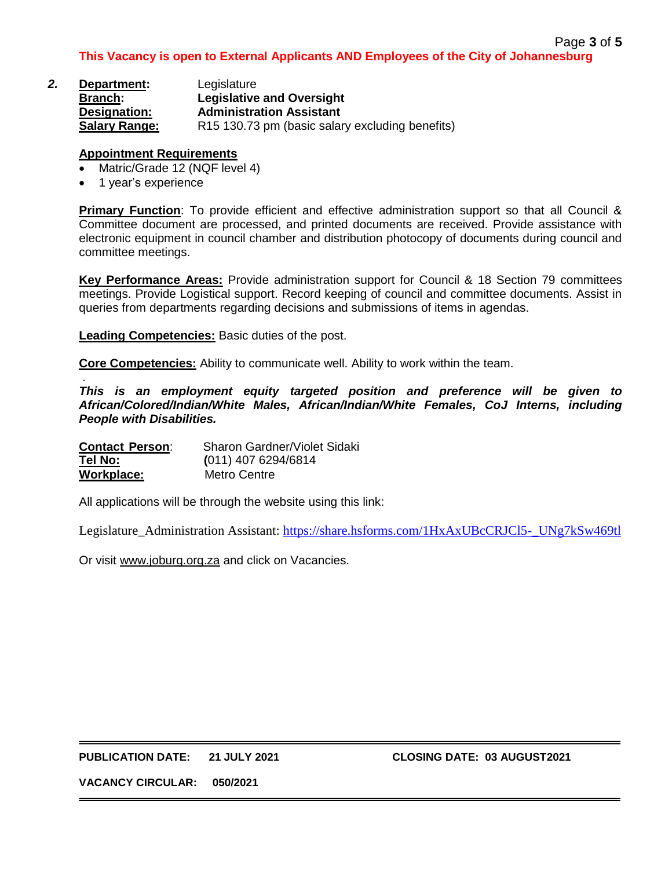| 2. | Department:          | Legislature                                     |
|----|----------------------|-------------------------------------------------|
|    | <b>Branch:</b>       | <b>Legislative and Oversight</b>                |
|    | Designation:         | <b>Administration Assistant</b>                 |
|    | <b>Salary Range:</b> | R15 130.73 pm (basic salary excluding benefits) |

### **Appointment Requirements**

- Matric/Grade 12 (NQF level 4)
- 1 year's experience

**Primary Function**: To provide efficient and effective administration support so that all Council & Committee document are processed, and printed documents are received. Provide assistance with electronic equipment in council chamber and distribution photocopy of documents during council and committee meetings.

**Key Performance Areas:** Provide administration support for Council & 18 Section 79 committees meetings. Provide Logistical support. Record keeping of council and committee documents. Assist in queries from departments regarding decisions and submissions of items in agendas.

**Leading Competencies:** Basic duties of the post.

**Core Competencies:** Ability to communicate well. Ability to work within the team.

. *This is an employment equity targeted position and preference will be given to African/Colored/Indian/White Males, African/Indian/White Females, CoJ Interns, including People with Disabilities.*

| <b>Contact Person:</b> | Sharon Gardner/Violet Sidaki |
|------------------------|------------------------------|
| Tel No:                | $(011)$ 407 6294/6814        |
| Workplace:             | Metro Centre                 |

All applications will be through the website using this link:

Legislature\_Administration Assistant: [https://share.hsforms.com/1HxAxUBcCRJCl5-\\_UNg7kSw469tl](https://share.hsforms.com/1HxAxUBcCRJCl5-_UNg7kSw469tl)

Or visit [www.joburg.org.za](http://www.joburg.org.za/) and click on Vacancies.

**PUBLICATION DATE: 21 JULY 2021 CLOSING DATE: 03 AUGUST2021**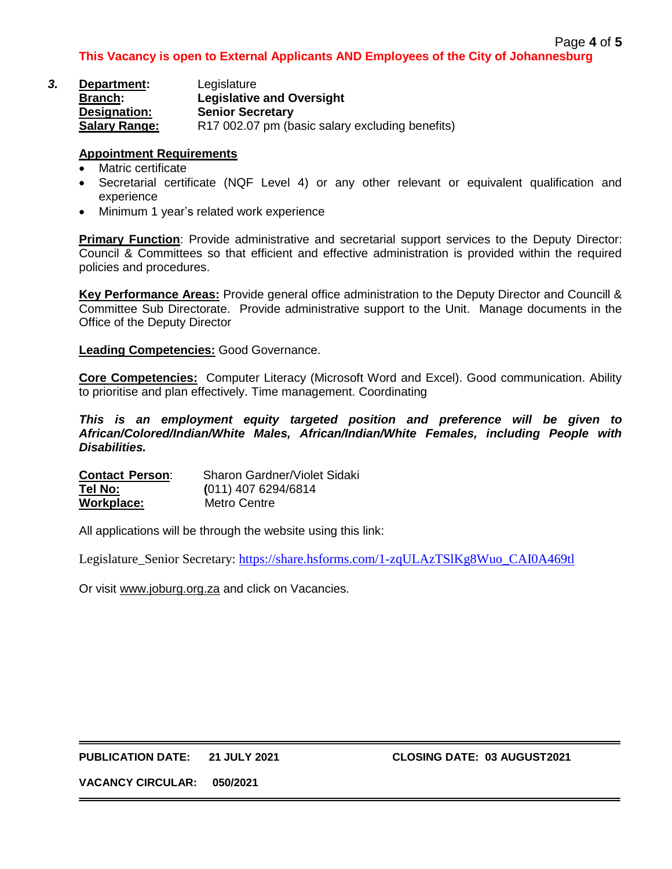| З. | Department:          | Legislature                                     |
|----|----------------------|-------------------------------------------------|
|    | <b>Branch:</b>       | <b>Legislative and Oversight</b>                |
|    | Designation:         | <b>Senior Secretary</b>                         |
|    | <b>Salary Range:</b> | R17 002.07 pm (basic salary excluding benefits) |

### **Appointment Requirements**

- Matric certificate
- Secretarial certificate (NQF Level 4) or any other relevant or equivalent qualification and experience
- Minimum 1 year's related work experience

**Primary Function**: Provide administrative and secretarial support services to the Deputy Director: Council & Committees so that efficient and effective administration is provided within the required policies and procedures.

**Key Performance Areas:** Provide general office administration to the Deputy Director and Councill & Committee Sub Directorate. Provide administrative support to the Unit. Manage documents in the Office of the Deputy Director

**Leading Competencies:** Good Governance.

**Core Competencies:** Computer Literacy (Microsoft Word and Excel). Good communication. Ability to prioritise and plan effectively. Time management. Coordinating

*This is an employment equity targeted position and preference will be given to African/Colored/Indian/White Males, African/Indian/White Females, including People with Disabilities.*

| <b>Contact Person:</b> | Sharon Gardner/Violet Sidaki |
|------------------------|------------------------------|
| Tel No:                | $(011)$ 407 6294/6814        |
| Workplace:             | Metro Centre                 |

All applications will be through the website using this link:

Legislature\_Senior Secretary: [https://share.hsforms.com/1-zqULAzTSlKg8Wuo\\_CAI0A469tl](https://share.hsforms.com/1-zqULAzTSlKg8Wuo_CAI0A469tl)

Or visit [www.joburg.org.za](http://www.joburg.org.za/) and click on Vacancies.

## **PUBLICATION DATE: 21 JULY 2021 CLOSING DATE: 03 AUGUST2021**